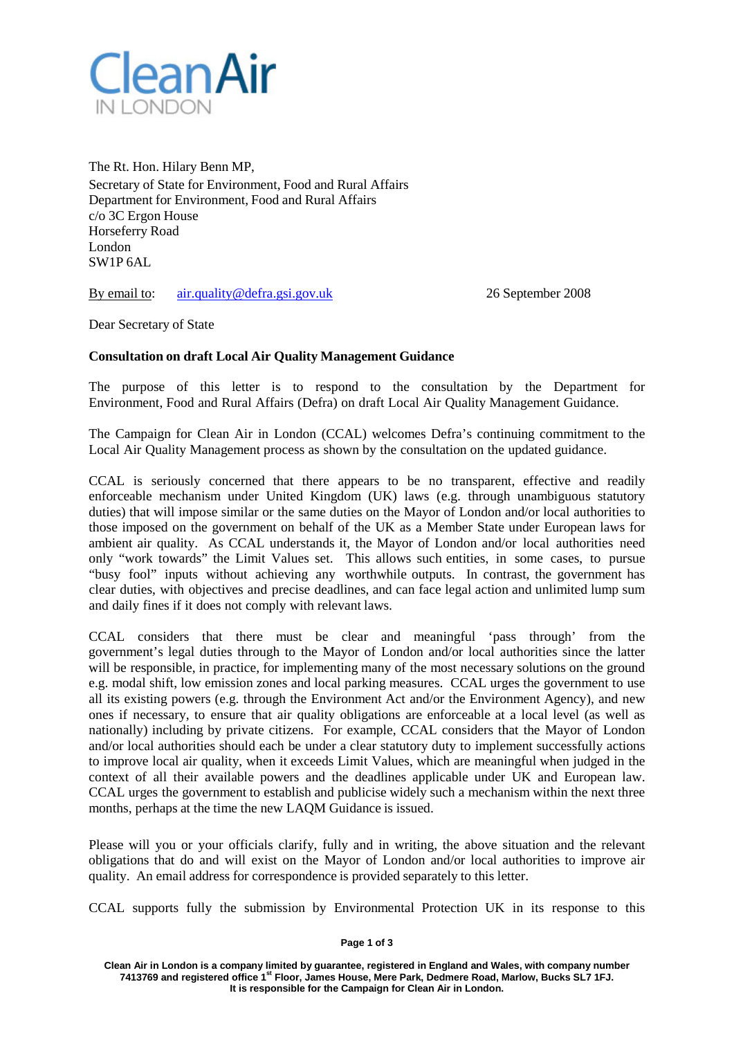

The Rt. Hon. Hilary Benn MP, Secretary of State for Environment, Food and Rural Affairs Department for Environment, Food and Rural Affairs c/o 3C Ergon House Horseferry Road London SW1P 6AL

By email to: [air.quality@defra.gsi.gov.uk 2](mailto:air.quality@defra.gsi.gov.uk)6 September 2008

Dear Secretary of State

## **Consultation on draft Local Air Quality Management Guidance**

The purpose of this letter is to respond to the consultation by the Department for Environment, Food and Rural Affairs (Defra) on draft Local Air Quality Management Guidance.

The Campaign for Clean Air in London (CCAL) welcomes Defra's continuing commitment to the Local Air Quality Management process as shown by the consultation on the updated guidance.

CCAL is seriously concerned that there appears to be no transparent, effective and readily enforceable mechanism under United Kingdom (UK) laws (e.g. through unambiguous statutory duties) that will impose similar or the same duties on the Mayor of London and/or local authorities to those imposed on the government on behalf of the UK as a Member State under European laws for ambient air quality. As CCAL understands it, the Mayor of London and/or local authorities need only "work towards" the Limit Values set. This allows such entities, in some cases, to pursue "busy fool" inputs without achieving any worthwhile outputs. In contrast, the government has clear duties, with objectives and precise deadlines, and can face legal action and unlimited lump sum and daily fines if it does not comply with relevant laws.

CCAL considers that there must be clear and meaningful 'pass through' from the government's legal duties through to the Mayor of London and/or local authorities since the latter will be responsible, in practice, for implementing many of the most necessary solutions on the ground e.g. modal shift, low emission zones and local parking measures. CCAL urges the government to use all its existing powers (e.g. through the Environment Act and/or the Environment Agency), and new ones if necessary, to ensure that air quality obligations are enforceable at a local level (as well as nationally) including by private citizens. For example, CCAL considers that the Mayor of London and/or local authorities should each be under a clear statutory duty to implement successfully actions to improve local air quality, when it exceeds Limit Values, which are meaningful when judged in the context of all their available powers and the deadlines applicable under UK and European law. CCAL urges the government to establish and publicise widely such a mechanism within the next three months, perhaps at the time the new LAQM Guidance is issued.

Please will you or your officials clarify, fully and in writing, the above situation and the relevant obligations that do and will exist on the Mayor of London and/or local authorities to improve air quality. An email address for correspondence is provided separately to this letter.

CCAL supports fully the submission by Environmental Protection UK in its response to this

## **Page 1 of 3**

**Clean Air in London is a company limited by guarantee, registered in England and Wales, with company number 7413769 and registered office 1st Floor, James House, Mere Park, Dedmere Road, Marlow, Bucks SL7 1FJ. It is responsible for the Campaign for Clean Air in London.**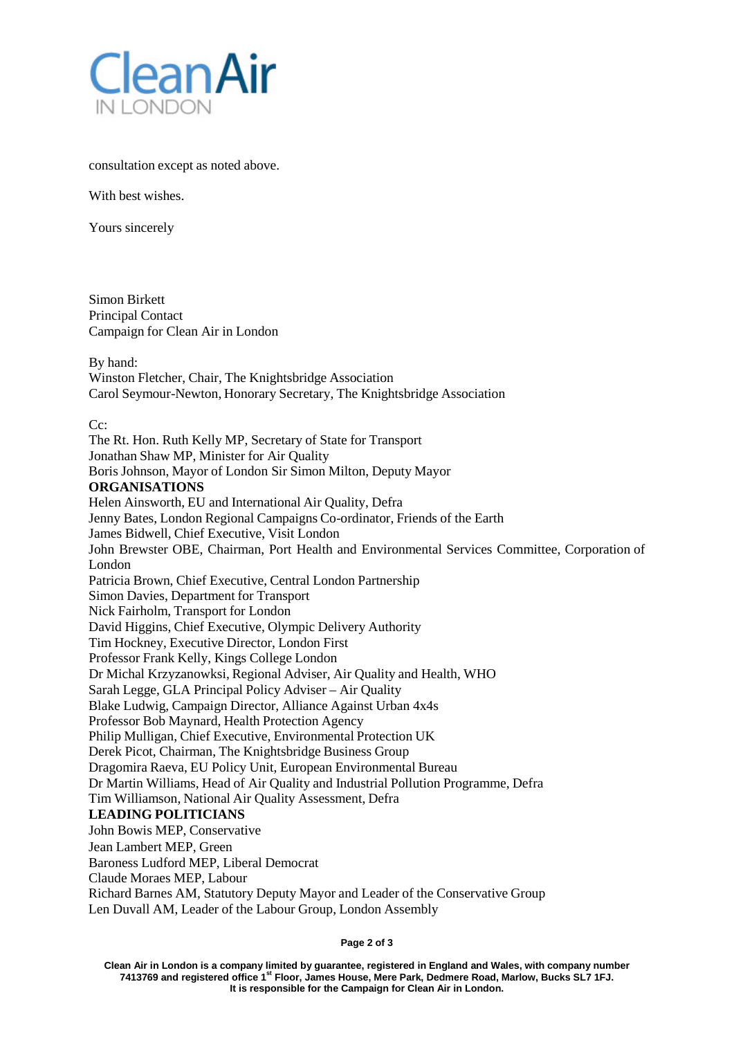

consultation except as noted above.

With best wishes.

Yours sincerely

Simon Birkett Principal Contact Campaign for Clean Air in London

By hand: Winston Fletcher, Chair, The Knightsbridge Association Carol Seymour-Newton, Honorary Secretary, The Knightsbridge Association

## Cc:

The Rt. Hon. Ruth Kelly MP, Secretary of State for Transport Jonathan Shaw MP, Minister for Air Quality Boris Johnson, Mayor of London Sir Simon Milton, Deputy Mayor **ORGANISATIONS** Helen Ainsworth, EU and International Air Quality, Defra Jenny Bates, London Regional Campaigns Co-ordinator, Friends of the Earth James Bidwell, Chief Executive, Visit London John Brewster OBE, Chairman, Port Health and Environmental Services Committee, Corporation of London Patricia Brown, Chief Executive, Central London Partnership Simon Davies, Department for Transport Nick Fairholm, Transport for London David Higgins, Chief Executive, Olympic Delivery Authority Tim Hockney, Executive Director, London First Professor Frank Kelly, Kings College London Dr Michal Krzyzanowksi, Regional Adviser, Air Quality and Health, WHO Sarah Legge, GLA Principal Policy Adviser – Air Quality Blake Ludwig, Campaign Director, Alliance Against Urban 4x4s Professor Bob Maynard, Health Protection Agency Philip Mulligan, Chief Executive, Environmental Protection UK Derek Picot, Chairman, The Knightsbridge Business Group Dragomira Raeva, EU Policy Unit, European Environmental Bureau Dr Martin Williams, Head of Air Quality and Industrial Pollution Programme, Defra Tim Williamson, National Air Quality Assessment, Defra **LEADING POLITICIANS** John Bowis MEP, Conservative Jean Lambert MEP, Green Baroness Ludford MEP, Liberal Democrat Claude Moraes MEP, Labour Richard Barnes AM, Statutory Deputy Mayor and Leader of the Conservative Group

Len Duvall AM, Leader of the Labour Group, London Assembly

**Page 2 of 3**

**Clean Air in London is a company limited by guarantee, registered in England and Wales, with company number 7413769 and registered office 1st Floor, James House, Mere Park, Dedmere Road, Marlow, Bucks SL7 1FJ. It is responsible for the Campaign for Clean Air in London.**